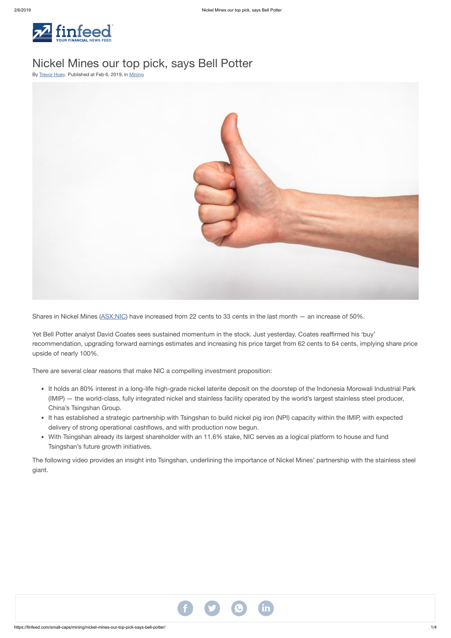

# Nickel Mines our top pick, says Bell Potter

By [Trevor](https://finfeed.com/author/trevor-hoey/) Hoey. Published at Feb 6, 2019, in [Mining](https://finfeed.com/small-caps/mining/)



Shares in Nickel Mines ([ASX:NIC](https://finfeed.com/company/nic/)) have increased from 22 cents to 33 cents in the last month — an increase of 50%.

Yet Bell Potter analyst David Coates sees sustained momentum in the stock. Just yesterday, Coates reaffirmed his 'buy' recommendation, upgrading forward earnings estimates and increasing his price target from 62 cents to 64 cents, implying share price upside of nearly 100%.

There are several clear reasons that make NIC a compelling investment proposition:

- It holds an 80% interest in a long-life high-grade nickel laterite deposit on the doorstep of the Indonesia Morowali Industrial Park (IMIP) — the world-class, fully integrated nickel and stainless facility operated by the world's largest stainless steel producer, China's Tsingshan Group.
- It has established a strategic partnership with Tsingshan to build nickel pig iron (NPI) capacity within the IMIP, with expected delivery of strong operational cashflows, and with production now begun.
- With Tsingshan already its largest shareholder with an 11.6% stake, NIC serves as a logical platform to house and fund Tsingshan's future growth initiatives.

The following video provides an insight into Tsingshan, underlining the importance of Nickel Mines' partnership with the stainless steel giant.

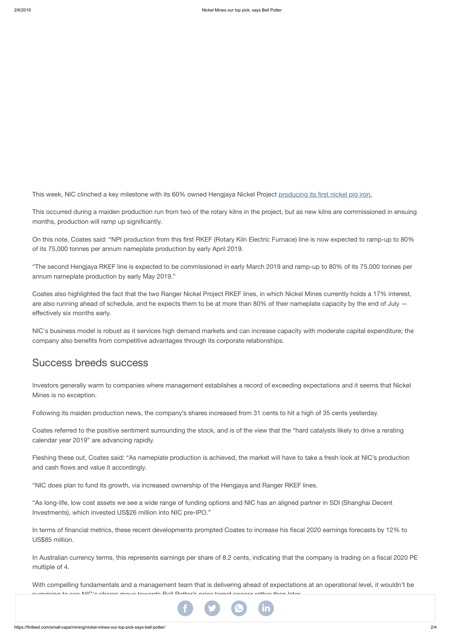This week, NIC clinched a key milestone with its 60% owned Hengjaya Nickel Project [producing](https://finfeed.com/small-caps/mining/nickel-mines-hengjaya-project-produces-first-returns/) its first nickel pig iron.

This occurred during a maiden production run from two of the rotary kilns in the project, but as new kilns are commissioned in ensuing months, production will ramp up significantly.

On this note, Coates said: "NPI production from this first RKEF (Rotary Kiln Electric Furnace) line is now expected to ramp-up to 80% of its 75,000 tonnes per annum nameplate production by early April 2019.

"The second Hengjaya RKEF line is expected to be commissioned in early March 2019 and ramp-up to 80% of its 75,000 tonnes per annum nameplate production by early May 2019."

Coates also highlighted the fact that the two Ranger Nickel Project RKEF lines, in which Nickel Mines currently holds a 17% interest, are also running ahead of schedule, and he expects them to be at more than 80% of their nameplate capacity by the end of July effectively six months early.

NIC's business model is robust as it services high demand markets and can increase capacity with moderate capital expenditure; the company also benefits from competitive advantages through its corporate relationships.

## Success breeds success

Investors generally warm to companies where management establishes a record of exceeding expectations and it seems that Nickel Mines is no exception.

Following its maiden production news, the company's shares increased from 31 cents to hit a high of 35 cents yesterday.

Coates referred to the positive sentiment surrounding the stock, and is of the view that the "hard catalysts likely to drive a rerating calendar year 2019" are advancing rapidly.

Fleshing these out, Coates said: "As nameplate production is achieved, the market will have to take a fresh look at NIC's production and cash flows and value it accordingly.

"NIC does plan to fund its growth, via increased ownership of the Hengjaya and Ranger RKEF lines.

"As long-life, low cost assets we see a wide range of funding options and NIC has an aligned partner in SDI (Shanghai Decent Investments), which invested US\$26 million into NIC pre-IPO."

In terms of financial metrics, these recent developments prompted Coates to increase his fiscal 2020 earnings forecasts by 12% to US\$85 million.

In Australian currency terms, this represents earnings per share of 8.2 cents, indicating that the company is trading on a fiscal 2020 PE multiple of 4.

With compelling fundamentals and a management team that is delivering ahead of expectations at an operational level, it wouldn't be surprising to see NIC's shares move towards Bell Potter's price target sooner rather than later.

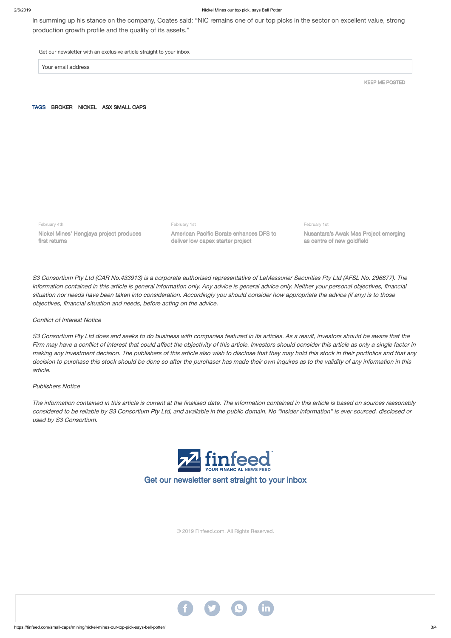#### 2/6/2019 Nickel Mines our top pick, says Bell Potter

In summing up his stance on the company, Coates said: "NIC remains one of our top picks in the sector on excellent value, strong production growth profile and the quality of its assets."

Get our newsletter with an exclusive article straight to your inbox

Your email address

KEEP ME POSTED

TAGS [BROKER](https://finfeed.com/tag/broker/) [NICKEL](https://finfeed.com/tag/nickel/) ASX [SMALL](https://finfeed.com/tag/asx-small-caps/) CAPS

February 4th

Nickel Mines' Hengjaya project produces first returns

February 1st

American Pacific Borate enhances DFS to deliver low capex starter project

February 1st Nusantara's Awak Mas Project emerging

as centre of new goldfield

S3 Consortium Pty Ltd does and seeks to do business with companies featured in its articles. As a result, investors should be aware that the Firm may have <sup>a</sup> conflict of interest that could affect the objectivity of this article. Investors should consider this article as only a single factor in making any investment decision. The publishers of this article also wish to disclose that they may hold this stock in their portfolios and that any decision to purchase this stock should be done so after the purchaser has made their own inquires as to the validity of any information in this article.

S3 Consortium Pty Ltd (CAR No.433913) is a corporate authorised representative of LeMessurier Securities Pty Ltd (AFSL No. 296877). The information contained in this article is general information only. Any advice is general advice only. Neither your personal objectives, financial situation nor needs have been taken into consideration. Accordingly you should consider how appropriate the advice (if any) is to those objectives, financial situation and needs, before acting on the advice.

### Conflict of Interest Notice

### Publishers Notice

The information contained in this article is current at the finalised date. The information contained in this article is based on sources reasonably considered to be reliable by S3 Consortium Pty Ltd, and available in the public domain. No "insider information" is ever sourced, disclosed or used by S3 Consortium.



Get our newsletter sent straight to your inbox

© 2019 Finfeed.com. All Rights Reserved.